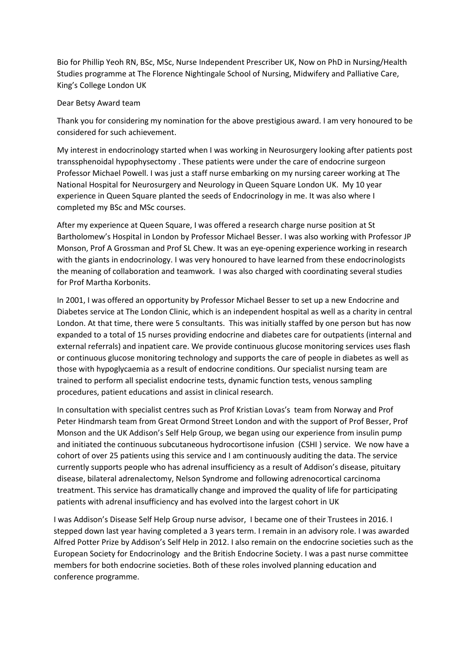Bio for Phillip Yeoh RN, BSc, MSc, Nurse Independent Prescriber UK, Now on PhD in Nursing/Health Studies programme at The Florence Nightingale School of Nursing, Midwifery and Palliative Care, King's College London UK

## Dear Betsy Award team

Thank you for considering my nomination for the above prestigious award. I am very honoured to be considered for such achievement.

My interest in endocrinology started when I was working in Neurosurgery looking after patients post transsphenoidal hypophysectomy . These patients were under the care of endocrine surgeon Professor Michael Powell. I was just a staff nurse embarking on my nursing career working at The National Hospital for Neurosurgery and Neurology in Queen Square London UK. My 10 year experience in Queen Square planted the seeds of Endocrinology in me. It was also where I completed my BSc and MSc courses.

After my experience at Queen Square, I was offered a research charge nurse position at St Bartholomew's Hospital in London by Professor Michael Besser. I was also working with Professor JP Monson, Prof A Grossman and Prof SL Chew. It was an eye-opening experience working in research with the giants in endocrinology. I was very honoured to have learned from these endocrinologists the meaning of collaboration and teamwork. I was also charged with coordinating several studies for Prof Martha Korbonits.

In 2001, I was offered an opportunity by Professor Michael Besser to set up a new Endocrine and Diabetes service at The London Clinic, which is an independent hospital as well as a charity in central London. At that time, there were 5 consultants. This was initially staffed by one person but has now expanded to a total of 15 nurses providing endocrine and diabetes care for outpatients (internal and external referrals) and inpatient care. We provide continuous glucose monitoring services uses flash or continuous glucose monitoring technology and supports the care of people in diabetes as well as those with hypoglycaemia as a result of endocrine conditions. Our specialist nursing team are trained to perform all specialist endocrine tests, dynamic function tests, venous sampling procedures, patient educations and assist in clinical research.

In consultation with specialist centres such as Prof Kristian Lovas's team from Norway and Prof Peter Hindmarsh team from Great Ormond Street London and with the support of Prof Besser, Prof Monson and the UK Addison's Self Help Group, we began using our experience from insulin pump and initiated the continuous subcutaneous hydrocortisone infusion (CSHI ) service. We now have a cohort of over 25 patients using this service and I am continuously auditing the data. The service currently supports people who has adrenal insufficiency as a result of Addison's disease, pituitary disease, bilateral adrenalectomy, Nelson Syndrome and following adrenocortical carcinoma treatment. This service has dramatically change and improved the quality of life for participating patients with adrenal insufficiency and has evolved into the largest cohort in UK

I was Addison's Disease Self Help Group nurse advisor, I became one of their Trustees in 2016. I stepped down last year having completed a 3 years term. I remain in an advisory role. I was awarded Alfred Potter Prize by Addison's Self Help in 2012. I also remain on the endocrine societies such as the European Society for Endocrinology and the British Endocrine Society. I was a past nurse committee members for both endocrine societies. Both of these roles involved planning education and conference programme.